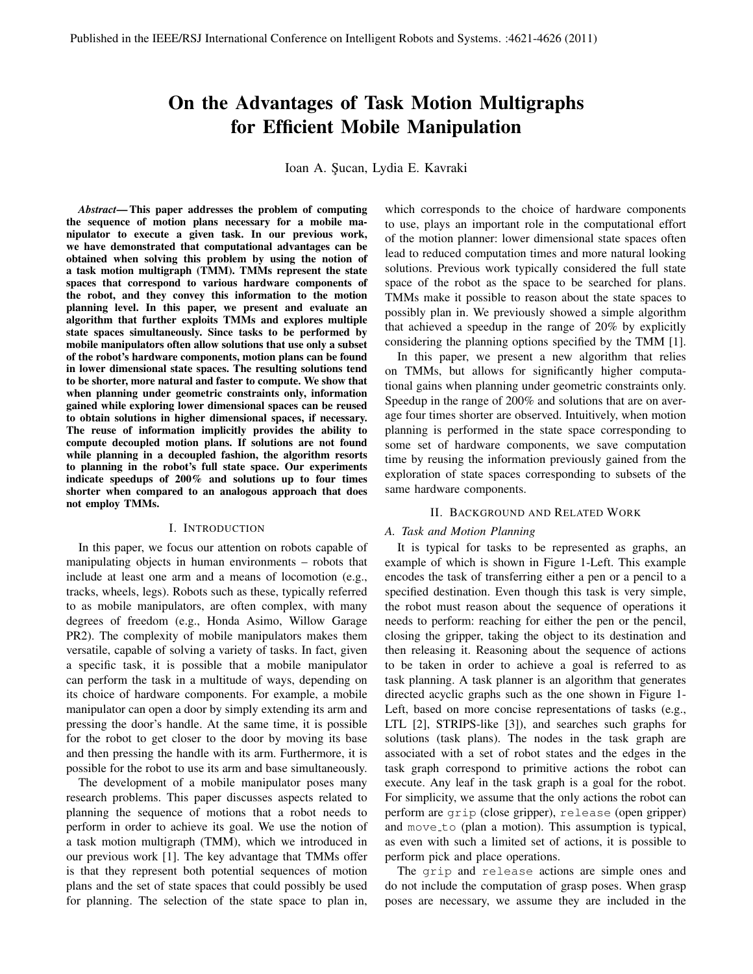# On the Advantages of Task Motion Multigraphs for Efficient Mobile Manipulation

Ioan A. Şucan, Lydia E. Kavraki

*Abstract*— This paper addresses the problem of computing the sequence of motion plans necessary for a mobile manipulator to execute a given task. In our previous work, we have demonstrated that computational advantages can be obtained when solving this problem by using the notion of a task motion multigraph (TMM). TMMs represent the state spaces that correspond to various hardware components of the robot, and they convey this information to the motion planning level. In this paper, we present and evaluate an algorithm that further exploits TMMs and explores multiple state spaces simultaneously. Since tasks to be performed by mobile manipulators often allow solutions that use only a subset of the robot's hardware components, motion plans can be found in lower dimensional state spaces. The resulting solutions tend to be shorter, more natural and faster to compute. We show that when planning under geometric constraints only, information gained while exploring lower dimensional spaces can be reused to obtain solutions in higher dimensional spaces, if necessary. The reuse of information implicitly provides the ability to compute decoupled motion plans. If solutions are not found while planning in a decoupled fashion, the algorithm resorts to planning in the robot's full state space. Our experiments indicate speedups of 200% and solutions up to four times shorter when compared to an analogous approach that does not employ TMMs.

## I. INTRODUCTION

In this paper, we focus our attention on robots capable of manipulating objects in human environments – robots that include at least one arm and a means of locomotion (e.g., tracks, wheels, legs). Robots such as these, typically referred to as mobile manipulators, are often complex, with many degrees of freedom (e.g., Honda Asimo, Willow Garage PR2). The complexity of mobile manipulators makes them versatile, capable of solving a variety of tasks. In fact, given a specific task, it is possible that a mobile manipulator can perform the task in a multitude of ways, depending on its choice of hardware components. For example, a mobile manipulator can open a door by simply extending its arm and pressing the door's handle. At the same time, it is possible for the robot to get closer to the door by moving its base and then pressing the handle with its arm. Furthermore, it is possible for the robot to use its arm and base simultaneously.

The development of a mobile manipulator poses many research problems. This paper discusses aspects related to planning the sequence of motions that a robot needs to perform in order to achieve its goal. We use the notion of a task motion multigraph (TMM), which we introduced in our previous work [1]. The key advantage that TMMs offer is that they represent both potential sequences of motion plans and the set of state spaces that could possibly be used for planning. The selection of the state space to plan in,

which corresponds to the choice of hardware components to use, plays an important role in the computational effort of the motion planner: lower dimensional state spaces often lead to reduced computation times and more natural looking solutions. Previous work typically considered the full state space of the robot as the space to be searched for plans. TMMs make it possible to reason about the state spaces to possibly plan in. We previously showed a simple algorithm that achieved a speedup in the range of 20% by explicitly considering the planning options specified by the TMM [1].

In this paper, we present a new algorithm that relies on TMMs, but allows for significantly higher computational gains when planning under geometric constraints only. Speedup in the range of 200% and solutions that are on average four times shorter are observed. Intuitively, when motion planning is performed in the state space corresponding to some set of hardware components, we save computation time by reusing the information previously gained from the exploration of state spaces corresponding to subsets of the same hardware components.

## II. BACKGROUND AND RELATED WORK

### *A. Task and Motion Planning*

It is typical for tasks to be represented as graphs, an example of which is shown in Figure 1-Left. This example encodes the task of transferring either a pen or a pencil to a specified destination. Even though this task is very simple, the robot must reason about the sequence of operations it needs to perform: reaching for either the pen or the pencil, closing the gripper, taking the object to its destination and then releasing it. Reasoning about the sequence of actions to be taken in order to achieve a goal is referred to as task planning. A task planner is an algorithm that generates directed acyclic graphs such as the one shown in Figure 1- Left, based on more concise representations of tasks (e.g., LTL [2], STRIPS-like [3]), and searches such graphs for solutions (task plans). The nodes in the task graph are associated with a set of robot states and the edges in the task graph correspond to primitive actions the robot can execute. Any leaf in the task graph is a goal for the robot. For simplicity, we assume that the only actions the robot can perform are grip (close gripper), release (open gripper) and move to (plan a motion). This assumption is typical, as even with such a limited set of actions, it is possible to perform pick and place operations.

The grip and release actions are simple ones and do not include the computation of grasp poses. When grasp poses are necessary, we assume they are included in the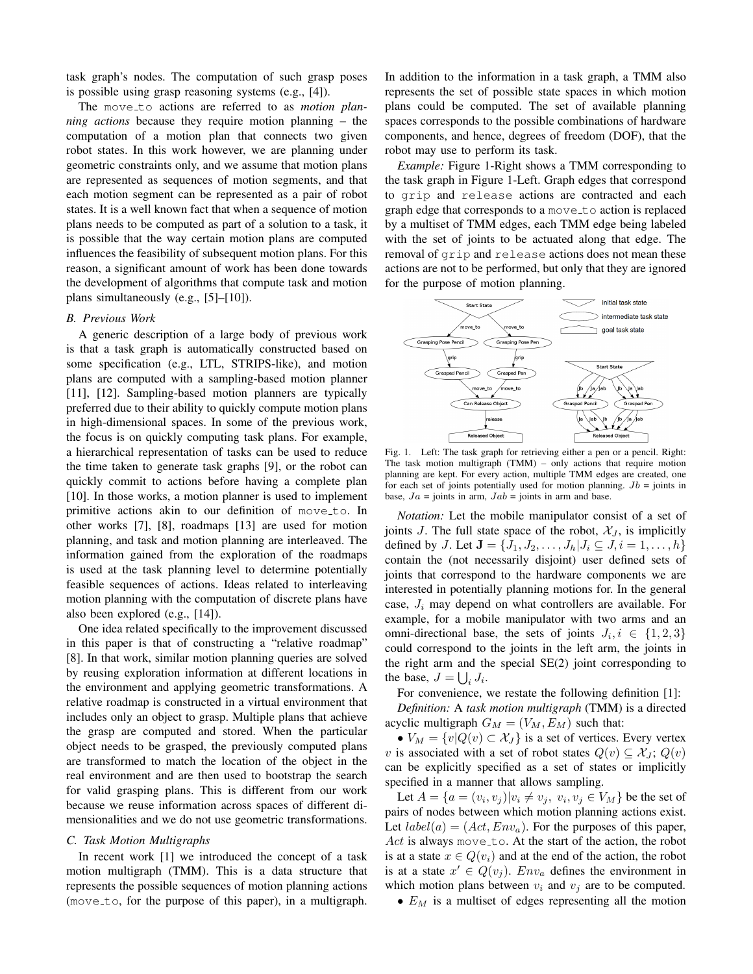task graph's nodes. The computation of such grasp poses is possible using grasp reasoning systems (e.g., [4]).

The move to actions are referred to as *motion planning actions* because they require motion planning – the computation of a motion plan that connects two given robot states. In this work however, we are planning under geometric constraints only, and we assume that motion plans are represented as sequences of motion segments, and that each motion segment can be represented as a pair of robot states. It is a well known fact that when a sequence of motion plans needs to be computed as part of a solution to a task, it is possible that the way certain motion plans are computed influences the feasibility of subsequent motion plans. For this reason, a significant amount of work has been done towards the development of algorithms that compute task and motion plans simultaneously (e.g., [5]–[10]).

## *B. Previous Work*

A generic description of a large body of previous work is that a task graph is automatically constructed based on some specification (e.g., LTL, STRIPS-like), and motion plans are computed with a sampling-based motion planner [11], [12]. Sampling-based motion planners are typically preferred due to their ability to quickly compute motion plans in high-dimensional spaces. In some of the previous work, the focus is on quickly computing task plans. For example, a hierarchical representation of tasks can be used to reduce the time taken to generate task graphs [9], or the robot can quickly commit to actions before having a complete plan [10]. In those works, a motion planner is used to implement primitive actions akin to our definition of move\_to. In other works [7], [8], roadmaps [13] are used for motion planning, and task and motion planning are interleaved. The information gained from the exploration of the roadmaps is used at the task planning level to determine potentially feasible sequences of actions. Ideas related to interleaving motion planning with the computation of discrete plans have also been explored (e.g., [14]).

One idea related specifically to the improvement discussed in this paper is that of constructing a "relative roadmap" [8]. In that work, similar motion planning queries are solved by reusing exploration information at different locations in the environment and applying geometric transformations. A relative roadmap is constructed in a virtual environment that includes only an object to grasp. Multiple plans that achieve the grasp are computed and stored. When the particular object needs to be grasped, the previously computed plans are transformed to match the location of the object in the real environment and are then used to bootstrap the search for valid grasping plans. This is different from our work because we reuse information across spaces of different dimensionalities and we do not use geometric transformations.

## *C. Task Motion Multigraphs*

In recent work [1] we introduced the concept of a task motion multigraph (TMM). This is a data structure that represents the possible sequences of motion planning actions  $(move_to, for the purpose of this paper), in a multigraph.$  In addition to the information in a task graph, a TMM also represents the set of possible state spaces in which motion plans could be computed. The set of available planning spaces corresponds to the possible combinations of hardware components, and hence, degrees of freedom (DOF), that the robot may use to perform its task.

*Example:* Figure 1-Right shows a TMM corresponding to the task graph in Figure 1-Left. Graph edges that correspond to grip and release actions are contracted and each graph edge that corresponds to a move\_to action is replaced by a multiset of TMM edges, each TMM edge being labeled with the set of joints to be actuated along that edge. The removal of grip and release actions does not mean these actions are not to be performed, but only that they are ignored for the purpose of motion planning.



Fig. 1. Left: The task graph for retrieving either a pen or a pencil. Right: The task motion multigraph (TMM) – only actions that require motion planning are kept. For every action, multiple TMM edges are created, one for each set of joints potentially used for motion planning.  $Jb =$  joints in base,  $Ja =$  joints in arm,  $Jab =$  joints in arm and base.

*Notation:* Let the mobile manipulator consist of a set of joints J. The full state space of the robot,  $\mathcal{X}_J$ , is implicitly defined by *J*. Let  $J = \{J_1, J_2, \ldots, J_h | J_i \subseteq J, i = 1, \ldots, h\}$ contain the (not necessarily disjoint) user defined sets of joints that correspond to the hardware components we are interested in potentially planning motions for. In the general case,  $J_i$  may depend on what controllers are available. For example, for a mobile manipulator with two arms and an omni-directional base, the sets of joints  $J_i, i \in \{1, 2, 3\}$ could correspond to the joints in the left arm, the joints in the right arm and the special SE(2) joint corresponding to the base,  $J = \bigcup_i J_i$ .

For convenience, we restate the following definition [1]:

*Definition:* A *task motion multigraph* (TMM) is a directed acyclic multigraph  $G_M = (V_M, E_M)$  such that:

•  $V_M = \{v | Q(v) \subset \mathcal{X}_J\}$  is a set of vertices. Every vertex v is associated with a set of robot states  $Q(v) \subseteq \mathcal{X}_I$ ;  $Q(v)$ can be explicitly specified as a set of states or implicitly specified in a manner that allows sampling.

Let  $A = \{a = (v_i, v_j) | v_i \neq v_j, v_i, v_j \in V_M \}$  be the set of pairs of nodes between which motion planning actions exist. Let  $label(a) = (Act, Env_a)$ . For the purposes of this paper, Act is always move  $\pm$ o. At the start of the action, the robot is at a state  $x \in Q(v_i)$  and at the end of the action, the robot is at a state  $x' \in Q(v_j)$ .  $Env_a$  defines the environment in which motion plans between  $v_i$  and  $v_j$  are to be computed.

•  $E_M$  is a multiset of edges representing all the motion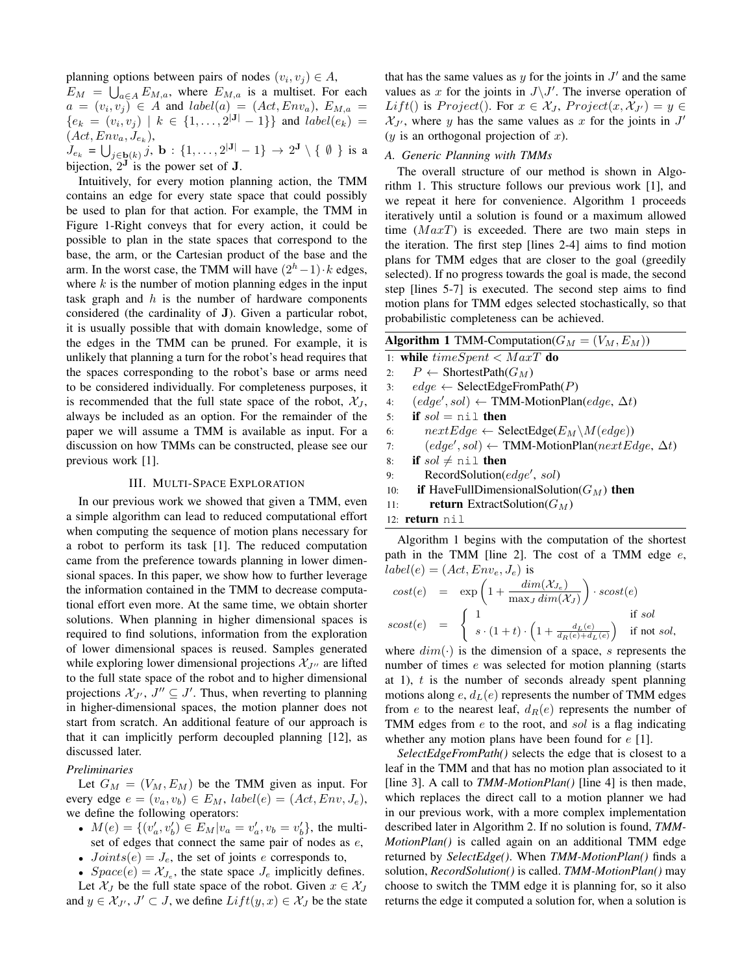planning options between pairs of nodes  $(v_i, v_j) \in A$ ,  $E_M = \bigcup_{a \in A} E_{M,a}$ , where  $E_{M,a}$  is a multiset. For each  $a = (v_i, v_j) \in A$  and  $label(a) = (Act, Env_a), E_{M,a} =$  ${e_k = (v_i, v_j) \mid k \in \{1, ..., 2^{|J|} - 1\}}$  and  $label(e_k) =$  $(Act, Env_a, J_{e_k}),$  $J_{e_k} = \bigcup_{j \in \mathbf{b}(k)} j, \mathbf{b} : \{1, \ldots, 2^{|J|} - 1\} \to 2^J \setminus \{\emptyset\}$  is a bijection,  $2^J$  is the power set of J.

Intuitively, for every motion planning action, the TMM contains an edge for every state space that could possibly be used to plan for that action. For example, the TMM in Figure 1-Right conveys that for every action, it could be possible to plan in the state spaces that correspond to the base, the arm, or the Cartesian product of the base and the arm. In the worst case, the TMM will have  $(2<sup>h</sup> - 1) \cdot k$  edges, where  $k$  is the number of motion planning edges in the input task graph and  $h$  is the number of hardware components considered (the cardinality of J). Given a particular robot, it is usually possible that with domain knowledge, some of the edges in the TMM can be pruned. For example, it is unlikely that planning a turn for the robot's head requires that the spaces corresponding to the robot's base or arms need to be considered individually. For completeness purposes, it is recommended that the full state space of the robot,  $\mathcal{X}_I$ , always be included as an option. For the remainder of the paper we will assume a TMM is available as input. For a discussion on how TMMs can be constructed, please see our previous work [1].

#### III. MULTI-SPACE EXPLORATION

In our previous work we showed that given a TMM, even a simple algorithm can lead to reduced computational effort when computing the sequence of motion plans necessary for a robot to perform its task [1]. The reduced computation came from the preference towards planning in lower dimensional spaces. In this paper, we show how to further leverage the information contained in the TMM to decrease computational effort even more. At the same time, we obtain shorter solutions. When planning in higher dimensional spaces is required to find solutions, information from the exploration of lower dimensional spaces is reused. Samples generated while exploring lower dimensional projections  $\mathcal{X}_{J^{\prime\prime}}$  are lifted to the full state space of the robot and to higher dimensional projections  $\mathcal{X}_{J'}$ ,  $J'' \subseteq J'$ . Thus, when reverting to planning in higher-dimensional spaces, the motion planner does not start from scratch. An additional feature of our approach is that it can implicitly perform decoupled planning [12], as discussed later.

# *Preliminaries*

Let  $G_M = (V_M, E_M)$  be the TMM given as input. For every edge  $e = (v_a, v_b) \in E_M$ ,  $label(e) = (Act, Env, J_e)$ , we define the following operators:

- $M(e) = \{(v'_a, v'_b) \in E_M | v_a = v'_a, v_b = v'_b\}$ , the multiset of edges that connect the same pair of nodes as  $e$ , •  $Joints(e) = J_e$ , the set of joints e corresponds to,
- 

•  $Space(e) = \mathcal{X}_{J_e}$ , the state space  $J_e$  implicitly defines. Let  $\mathcal{X}_J$  be the full state space of the robot. Given  $x \in \mathcal{X}_J$ and  $y \in \mathcal{X}_{J'}$ ,  $J' \subset J$ , we define  $Lift(y, x) \in \mathcal{X}_J$  be the state

that has the same values as  $y$  for the joints in  $J'$  and the same values as x for the joints in  $J\backslash J'$ . The inverse operation of Lift() is  $Project()$ . For  $x \in \mathcal{X}_J$ ,  $Project(x, \mathcal{X}_{J'}) = y \in$  $\mathcal{X}_{J'}$ , where y has the same values as x for the joints in  $J'$  $(y$  is an orthogonal projection of x).

## *A. Generic Planning with TMMs*

The overall structure of our method is shown in Algorithm 1. This structure follows our previous work [1], and we repeat it here for convenience. Algorithm 1 proceeds iteratively until a solution is found or a maximum allowed time  $(MaxT)$  is exceeded. There are two main steps in the iteration. The first step [lines 2-4] aims to find motion plans for TMM edges that are closer to the goal (greedily selected). If no progress towards the goal is made, the second step [lines 5-7] is executed. The second step aims to find motion plans for TMM edges selected stochastically, so that probabilistic completeness can be achieved.

| <b>Algorithm 1 TMM-Computation</b> ( $G_M = (V_M, E_M)$ ) |                                                                                      |
|-----------------------------------------------------------|--------------------------------------------------------------------------------------|
|                                                           | 1: while $time spent < MaxT$ do                                                      |
| 2:                                                        | $P \leftarrow$ ShortestPath $(G_M)$                                                  |
| 3:                                                        | $edge \leftarrow$ SelectEdgeFromPath(P)                                              |
| 4:                                                        | $(\text{edge}', \text{sol}) \leftarrow \text{TMM-MotionPlan}(\text{edge}, \Delta t)$ |
| 5:                                                        | <b>if</b> $sol =$ nil <b>then</b>                                                    |
| 6:                                                        | $nextEdge \leftarrow SelectEdge(E_M \backslash M(edge))$                             |
| 7:                                                        | $(edge', sol) \leftarrow \text{TMM-MotionPlan}(nextEdge, \Delta t)$                  |
| 8:                                                        | <b>if</b> sol $\neq$ nil <b>then</b>                                                 |
| 9:                                                        | RecordSolution(edge', sol)                                                           |
| 10:                                                       | <b>if</b> HaveFullDimensionalSolution( $G_M$ ) then                                  |
| 11:                                                       | <b>return</b> ExtractSolution( $G_M$ )                                               |
|                                                           | 12: $return$ $ni$ $l$                                                                |
|                                                           | Algorithm 1 begins with the computation of the shortest                              |

path in the TMM [line 2]. The cost of a TMM edge  $e$ ,  $label(e) = (Act, Env_e, J_e)$  is

$$
\begin{array}{lcl} cost(e) & = & \exp \left( 1 + \dfrac{dim(\mathcal{X}_{J_e})}{\max_{J} dim(\mathcal{X}_{J})} \right) \cdot scost(e) \\ & = & \left\{ \begin{array}{l l} 1 & \mbox{if } sol \\ s \cdot (1+t) \cdot \left( 1 + \frac{d_L(e)}{d_R(e) + d_L(e)} \right) & \mbox{if not } sol, \end{array} \right. \end{array}
$$

where  $dim(\cdot)$  is the dimension of a space, s represents the number of times e was selected for motion planning (starts at 1),  $t$  is the number of seconds already spent planning motions along  $e$ ,  $d<sub>L</sub>(e)$  represents the number of TMM edges from e to the nearest leaf,  $d_R(e)$  represents the number of TMM edges from  $e$  to the root, and sol is a flag indicating whether any motion plans have been found for  $e \,$  [1].

*SelectEdgeFromPath()* selects the edge that is closest to a leaf in the TMM and that has no motion plan associated to it [line 3]. A call to *TMM-MotionPlan()* [line 4] is then made, which replaces the direct call to a motion planner we had in our previous work, with a more complex implementation described later in Algorithm 2. If no solution is found, *TMM-MotionPlan()* is called again on an additional TMM edge returned by *SelectEdge()*. When *TMM-MotionPlan()* finds a solution, *RecordSolution()* is called. *TMM-MotionPlan()* may choose to switch the TMM edge it is planning for, so it also returns the edge it computed a solution for, when a solution is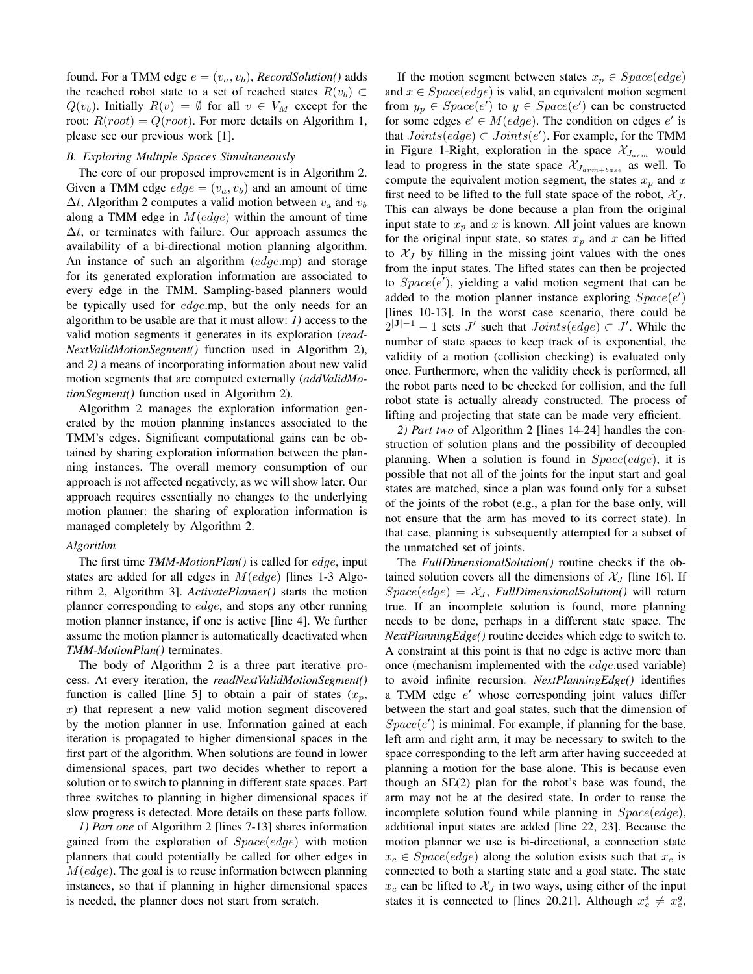found. For a TMM edge  $e = (v_a, v_b)$ , *RecordSolution()* adds the reached robot state to a set of reached states  $R(v_b) \subset$  $Q(v_b)$ . Initially  $R(v) = \emptyset$  for all  $v \in V_M$  except for the root:  $R(root) = Q(root)$ . For more details on Algorithm 1, please see our previous work [1].

## *B. Exploring Multiple Spaces Simultaneously*

The core of our proposed improvement is in Algorithm 2. Given a TMM edge  $edge = (v_a, v_b)$  and an amount of time  $\Delta t$ , Algorithm 2 computes a valid motion between  $v_a$  and  $v_b$ along a TMM edge in  $M(edge)$  within the amount of time  $\Delta t$ , or terminates with failure. Our approach assumes the availability of a bi-directional motion planning algorithm. An instance of such an algorithm (edge.mp) and storage for its generated exploration information are associated to every edge in the TMM. Sampling-based planners would be typically used for *edge*.mp, but the only needs for an algorithm to be usable are that it must allow: *1)* access to the valid motion segments it generates in its exploration (*read-NextValidMotionSegment()* function used in Algorithm 2), and *2)* a means of incorporating information about new valid motion segments that are computed externally (*addValidMotionSegment()* function used in Algorithm 2).

Algorithm 2 manages the exploration information generated by the motion planning instances associated to the TMM's edges. Significant computational gains can be obtained by sharing exploration information between the planning instances. The overall memory consumption of our approach is not affected negatively, as we will show later. Our approach requires essentially no changes to the underlying motion planner: the sharing of exploration information is managed completely by Algorithm 2.

## *Algorithm*

The first time *TMM-MotionPlan()* is called for edge, input states are added for all edges in  $M(edge)$  [lines 1-3 Algorithm 2, Algorithm 3]. *ActivatePlanner()* starts the motion planner corresponding to edge, and stops any other running motion planner instance, if one is active [line 4]. We further assume the motion planner is automatically deactivated when *TMM-MotionPlan()* terminates.

The body of Algorithm 2 is a three part iterative process. At every iteration, the *readNextValidMotionSegment()* function is called [line 5] to obtain a pair of states  $(x_p,$  $x$ ) that represent a new valid motion segment discovered by the motion planner in use. Information gained at each iteration is propagated to higher dimensional spaces in the first part of the algorithm. When solutions are found in lower dimensional spaces, part two decides whether to report a solution or to switch to planning in different state spaces. Part three switches to planning in higher dimensional spaces if slow progress is detected. More details on these parts follow.

*1) Part one* of Algorithm 2 [lines 7-13] shares information gained from the exploration of  $Spaceedge)$  with motion planners that could potentially be called for other edges in  $M(edge)$ . The goal is to reuse information between planning instances, so that if planning in higher dimensional spaces is needed, the planner does not start from scratch.

If the motion segment between states  $x_p \in Space$  (edge) and  $x \in Space-edge)$  is valid, an equivalent motion segment from  $y_p \in Space(e')$  to  $y \in Space(e')$  can be constructed for some edges  $e' \in M(edge)$ . The condition on edges  $e'$  is that  $Joints(edge) \subset Joints(e')$ . For example, for the TMM in Figure 1-Right, exploration in the space  $\mathcal{X}_{J_{arm}}$  would lead to progress in the state space  $\mathcal{X}_{J_{arm+base}}$  as well. To compute the equivalent motion segment, the states  $x_p$  and x first need to be lifted to the full state space of the robot,  $\mathcal{X}_{J}$ . This can always be done because a plan from the original input state to  $x_p$  and x is known. All joint values are known for the original input state, so states  $x_p$  and x can be lifted to  $X_J$  by filling in the missing joint values with the ones from the input states. The lifted states can then be projected to  $Space(e')$ , yielding a valid motion segment that can be added to the motion planner instance exploring  $Space(e')$ [lines 10-13]. In the worst case scenario, there could be  $2^{|J|-1} - 1$  sets J' such that  $Joins(edge) \subset J'$ . While the number of state spaces to keep track of is exponential, the validity of a motion (collision checking) is evaluated only once. Furthermore, when the validity check is performed, all the robot parts need to be checked for collision, and the full robot state is actually already constructed. The process of lifting and projecting that state can be made very efficient.

*2) Part two* of Algorithm 2 [lines 14-24] handles the construction of solution plans and the possibility of decoupled planning. When a solution is found in  $Space(edge)$ , it is possible that not all of the joints for the input start and goal states are matched, since a plan was found only for a subset of the joints of the robot (e.g., a plan for the base only, will not ensure that the arm has moved to its correct state). In that case, planning is subsequently attempted for a subset of the unmatched set of joints.

The *FullDimensionalSolution()* routine checks if the obtained solution covers all the dimensions of  $\mathcal{X}_I$  [line 16]. If  $Space (edge) = X_J$ , *FullDimensionalSolution*() will return true. If an incomplete solution is found, more planning needs to be done, perhaps in a different state space. The *NextPlanningEdge()* routine decides which edge to switch to. A constraint at this point is that no edge is active more than once (mechanism implemented with the edge.used variable) to avoid infinite recursion. *NextPlanningEdge()* identifies a TMM edge  $e'$  whose corresponding joint values differ between the start and goal states, such that the dimension of  $Space(e')$  is minimal. For example, if planning for the base, left arm and right arm, it may be necessary to switch to the space corresponding to the left arm after having succeeded at planning a motion for the base alone. This is because even though an SE(2) plan for the robot's base was found, the arm may not be at the desired state. In order to reuse the incomplete solution found while planning in  $Space (edge),$ additional input states are added [line 22, 23]. Because the motion planner we use is bi-directional, a connection state  $x_c \in Spaceedge)$  along the solution exists such that  $x_c$  is connected to both a starting state and a goal state. The state  $x_c$  can be lifted to  $\mathcal{X}_J$  in two ways, using either of the input states it is connected to [lines 20,21]. Although  $x_c^s \neq x_c^g$ ,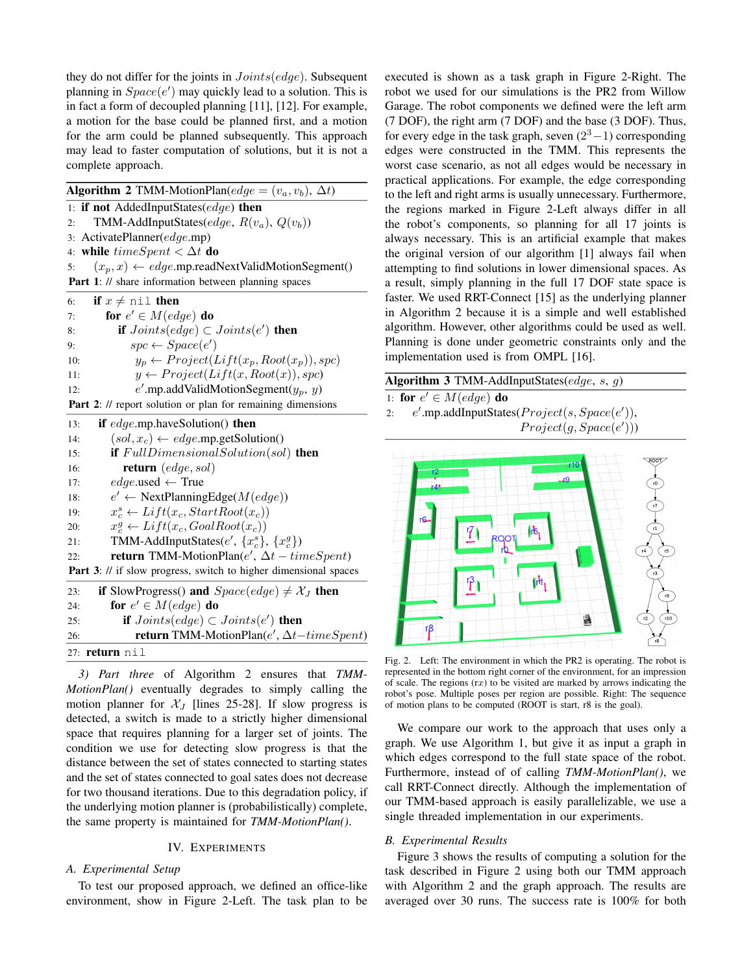they do not differ for the joints in  $Joints(edge)$ . Subsequent planning in  $Space(e')$  may quickly lead to a solution. This is in fact a form of decoupled planning [11], [12]. For example, a motion for the base could be planned first, and a motion for the arm could be planned subsequently. This approach may lead to faster computation of solutions, but it is not a complete approach.

| <b>Algorithm 2</b> TMM-MotionPlan( $edge = (v_a, v_b)$ , $\Delta t$ )     |  |  |
|---------------------------------------------------------------------------|--|--|
| 1: if not AddedInputStates( $edge$ ) then                                 |  |  |
| TMM-AddInputStates(edge, $R(v_a)$ , $Q(v_b)$ )<br>2:                      |  |  |
| ActivatePlanner(edge.mp)<br>3:                                            |  |  |
| while $timeSpent < \Delta t$ do<br>4:                                     |  |  |
| $(x_p, x) \leftarrow edge$ .mp.readNextValidMotionSegment()<br>5:         |  |  |
| Part 1: // share information between planning spaces                      |  |  |
| <b>if</b> $x \neq n$ il then<br>6:                                        |  |  |
| for $e' \in M(edge)$ do<br>7:                                             |  |  |
| if $Joints(edge) \subset Joints(e')$ then<br>8:                           |  |  |
| $spe \leftarrow Space(e')$<br>9:                                          |  |  |
| $y_p \leftarrow Project(Lift(x_p, Root(x_p)), spc)$<br>10:                |  |  |
| $y \leftarrow Project(Lift(x, Root(x)), spc)$<br>11:                      |  |  |
| e'.mp.addValidMotionSegment( $y_p$ , $y$ )<br>12:                         |  |  |
| Part 2: // report solution or plan for remaining dimensions               |  |  |
| <b>if</b> edge.mp.haveSolution() <b>then</b><br>13:                       |  |  |
| $(sol, x_c) \leftarrow edge.\text{mp.getSolution}()$<br>14:               |  |  |
| <b>if</b> FullDimensionalSolution(sol) <b>then</b><br>15:                 |  |  |
| <b>return</b> $\text{(edge, sol)}$<br>16:                                 |  |  |
| $edge.\text{used} \leftarrow \text{True}$<br>17:                          |  |  |
| $e' \leftarrow$ NextPlanningEdge( $M(edge)$ )<br>18:                      |  |  |
| $x_c^s \leftarrow Lift(x_c,StartRoot(x_c))$<br>19:                        |  |  |
| $x_c^g \leftarrow Lift(x_c, GoalRoot(x_c))$<br>20:                        |  |  |
| TMM-AddInputStates(e', $\{x_c^s\}$ , $\{x_c^g\}$ )<br>21:                 |  |  |
| <b>return</b> TMM-MotionPlan( $e'$ , $\Delta t - timeSpent$ )<br>22:      |  |  |
| Part 3: // if slow progress, switch to higher dimensional spaces          |  |  |
| <b>if</b> SlowProgress() and $Space(edge) \neq \mathcal{X}_J$ then<br>23: |  |  |
| for $e' \in M(edge)$ do<br>24:                                            |  |  |
| if $Joints(edge) \subset Joints(e')$ then<br>25:                          |  |  |
| <b>return</b> TMM-MotionPlan( $e'$ , $\Delta t$ -timeSpent)<br>26:        |  |  |
| return nil<br>27:                                                         |  |  |

*3) Part three* of Algorithm 2 ensures that *TMM-MotionPlan()* eventually degrades to simply calling the motion planner for  $\mathcal{X}_J$  [lines 25-28]. If slow progress is detected, a switch is made to a strictly higher dimensional space that requires planning for a larger set of joints. The condition we use for detecting slow progress is that the distance between the set of states connected to starting states and the set of states connected to goal sates does not decrease for two thousand iterations. Due to this degradation policy, if the underlying motion planner is (probabilistically) complete, the same property is maintained for *TMM-MotionPlan()*.

# IV. EXPERIMENTS

### *A. Experimental Setup*

To test our proposed approach, we defined an office-like environment, show in Figure 2-Left. The task plan to be executed is shown as a task graph in Figure 2-Right. The robot we used for our simulations is the PR2 from Willow Garage. The robot components we defined were the left arm (7 DOF), the right arm (7 DOF) and the base (3 DOF). Thus, for every edge in the task graph, seven  $(2^3-1)$  corresponding edges were constructed in the TMM. This represents the worst case scenario, as not all edges would be necessary in practical applications. For example, the edge corresponding to the left and right arms is usually unnecessary. Furthermore, the regions marked in Figure 2-Left always differ in all the robot's components, so planning for all 17 joints is always necessary. This is an artificial example that makes the original version of our algorithm [1] always fail when attempting to find solutions in lower dimensional spaces. As a result, simply planning in the full 17 DOF state space is faster. We used RRT-Connect [15] as the underlying planner in Algorithm 2 because it is a simple and well established algorithm. However, other algorithms could be used as well. Planning is done under geometric constraints only and the implementation used is from OMPL [16].

| <b>Algorithm 3 TMM-AddInputStates</b> (edge, s, g) |                                                      |  |
|----------------------------------------------------|------------------------------------------------------|--|
|                                                    | 1: for $e' \in M(edge)$ do                           |  |
| 2:                                                 | $e'.\text{mp.addInputStates}(Project(s, Space(e')),$ |  |
|                                                    | Project(g, Space(e'))                                |  |
|                                                    |                                                      |  |



Fig. 2. Left: The environment in which the PR2 is operating. The robot is represented in the bottom right corner of the environment, for an impression of scale. The regions  $(rx)$  to be visited are marked by arrows indicating the robot's pose. Multiple poses per region are possible. Right: The sequence of motion plans to be computed (ROOT is start, r8 is the goal).

We compare our work to the approach that uses only a graph. We use Algorithm 1, but give it as input a graph in which edges correspond to the full state space of the robot. Furthermore, instead of of calling *TMM-MotionPlan()*, we call RRT-Connect directly. Although the implementation of our TMM-based approach is easily parallelizable, we use a single threaded implementation in our experiments.

### *B. Experimental Results*

Figure 3 shows the results of computing a solution for the task described in Figure 2 using both our TMM approach with Algorithm 2 and the graph approach. The results are averaged over 30 runs. The success rate is 100% for both